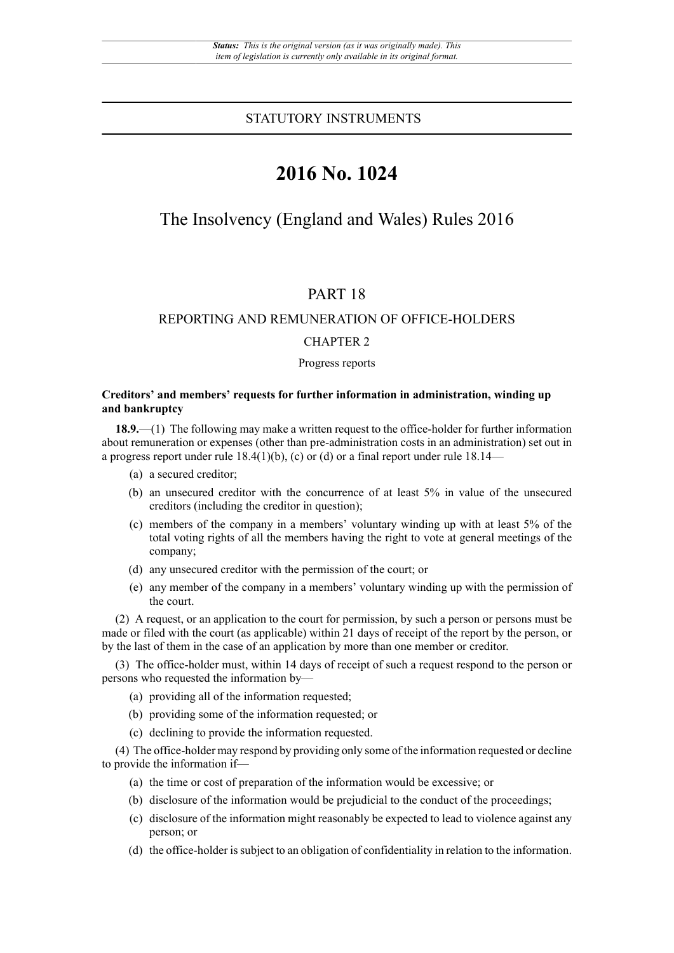### STATUTORY INSTRUMENTS

# **2016 No. 1024**

# The Insolvency (England and Wales) Rules 2016

# PART 18

# REPORTING AND REMUNERATION OF OFFICE-HOLDERS

### CHAPTER 2

#### Progress reports

#### **Creditors' and members' requests for further information in administration, winding up and bankruptcy**

**18.9.**—(1) The following may make a written request to the office-holder for further information about remuneration or expenses (other than pre-administration costs in an administration) set out in a progress report under rule  $18.4(1)(b)$ , (c) or (d) or a final report under rule 18.14—

- (a) a secured creditor;
- (b) an unsecured creditor with the concurrence of at least 5% in value of the unsecured creditors (including the creditor in question);
- (c) members of the company in a members' voluntary winding up with at least 5% of the total voting rights of all the members having the right to vote at general meetings of the company;
- (d) any unsecured creditor with the permission of the court; or
- (e) any member of the company in a members' voluntary winding up with the permission of the court.

(2) A request, or an application to the court for permission, by such a person or persons must be made or filed with the court (as applicable) within 21 days of receipt of the report by the person, or by the last of them in the case of an application by more than one member or creditor.

(3) The office-holder must, within 14 days of receipt of such a request respond to the person or persons who requested the information by—

- (a) providing all of the information requested;
- (b) providing some of the information requested; or
- (c) declining to provide the information requested.

(4) The office-holder may respond by providing only some of the information requested or decline to provide the information if—

- (a) the time or cost of preparation of the information would be excessive; or
- (b) disclosure of the information would be prejudicial to the conduct of the proceedings;
- (c) disclosure of the information might reasonably be expected to lead to violence against any person; or
- (d) the office-holder is subject to an obligation of confidentiality in relation to the information.